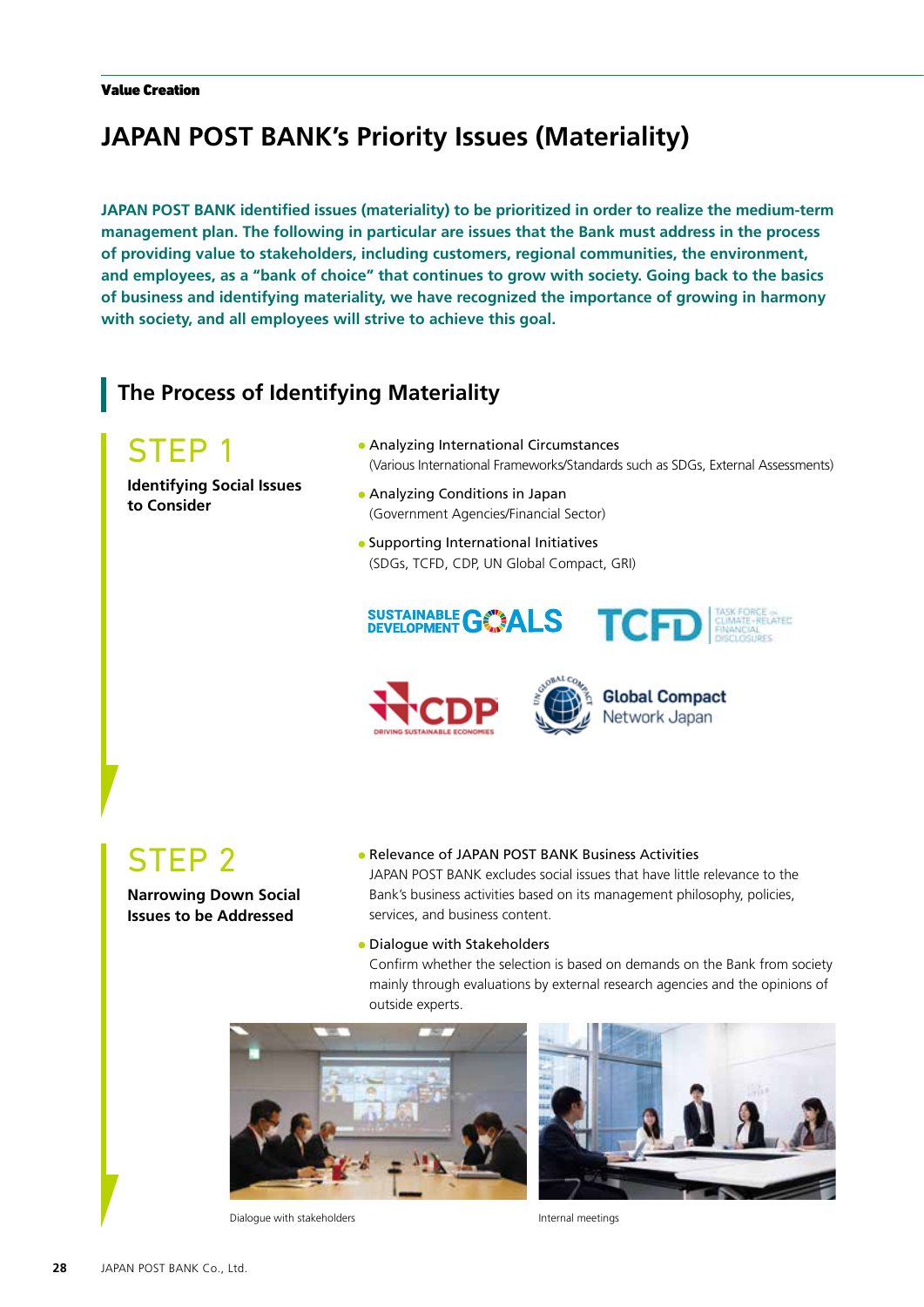# **JAPAN POST BANK's Priority Issues (Materiality)**

**JAPAN POST BANK identified issues (materiality) to be prioritized in order to realize the medium-term management plan. The following in particular are issues that the Bank must address in the process of providing value to stakeholders, including customers, regional communities, the environment, and employees, as a "bank of choice" that continues to grow with society. Going back to the basics of business and identifying materiality, we have recognized the importance of growing in harmony with society, and all employees will strive to achieve this goal.**

#### **The Process of Identifying Materiality**

## STEP 1

**Identifying Social Issues to Consider**

- Analyzing International Circumstances (Various International Frameworks/Standards such as SDGs, External Assessments)
- Analyzing Conditions in Japan (Government Agencies/Financial Sector)

**SUSTAINABLE GASALS** 

• Supporting International Initiatives (SDGs, TCFD, CDP, UN Global Compact, GRI)

# STEP 2

**Narrowing Down Social Issues to be Addressed**

#### Relevance of JAPAN POST BANK Business Activities

JAPAN POST BANK excludes social issues that have little relevance to the Bank's business activities based on its management philosophy, policies, services, and business content.

#### • Dialogue with Stakeholders

Confirm whether the selection is based on demands on the Bank from society mainly through evaluations by external research agencies and the opinions of outside experts.







TCFD EIMATE-RECHTEL

**Global Compact** Network Japan